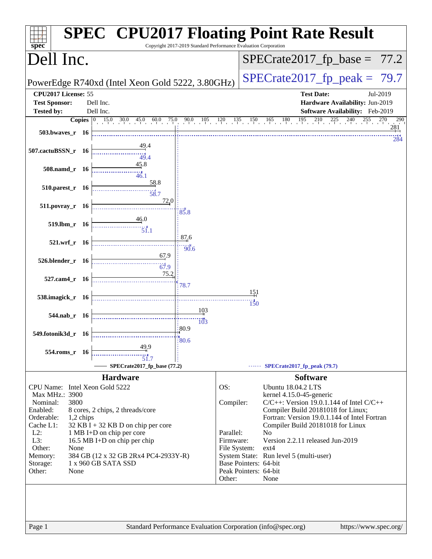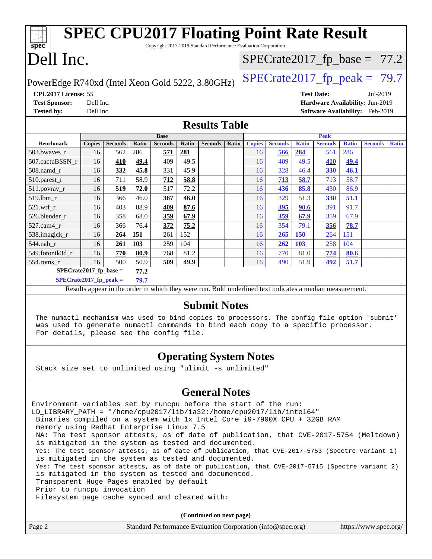| spec                                                                               |                |                                                                  |                     |              |                |              |               |                      |                                                                 |                |                   |                |                                                                                                                                                        |
|------------------------------------------------------------------------------------|----------------|------------------------------------------------------------------|---------------------|--------------|----------------|--------------|---------------|----------------------|-----------------------------------------------------------------|----------------|-------------------|----------------|--------------------------------------------------------------------------------------------------------------------------------------------------------|
| Dell Inc.                                                                          |                |                                                                  |                     |              |                |              |               |                      |                                                                 |                |                   |                |                                                                                                                                                        |
| $SPECTate2017_fp\_peak = 79.7$<br>PowerEdge R740xd (Intel Xeon Gold 5222, 3.80GHz) |                |                                                                  |                     |              |                |              |               |                      |                                                                 |                |                   |                |                                                                                                                                                        |
| CPU2017 License: 55                                                                |                |                                                                  |                     |              |                |              |               |                      |                                                                 |                |                   | Jul-2019       |                                                                                                                                                        |
|                                                                                    |                |                                                                  |                     |              |                |              |               |                      |                                                                 |                |                   |                |                                                                                                                                                        |
|                                                                                    |                |                                                                  |                     |              |                |              |               |                      |                                                                 |                |                   |                |                                                                                                                                                        |
|                                                                                    |                |                                                                  |                     |              |                |              |               |                      |                                                                 |                |                   |                |                                                                                                                                                        |
|                                                                                    |                |                                                                  | <b>Base</b>         |              |                |              |               |                      |                                                                 | <b>Peak</b>    |                   |                |                                                                                                                                                        |
| <b>Copies</b>                                                                      | <b>Seconds</b> | Ratio                                                            | <b>Seconds</b>      | <b>Ratio</b> | <b>Seconds</b> | <b>Ratio</b> | <b>Copies</b> | <b>Seconds</b>       | <b>Ratio</b>                                                    | <b>Seconds</b> | <b>Ratio</b>      | <b>Seconds</b> | <b>Ratio</b>                                                                                                                                           |
| 16                                                                                 |                |                                                                  |                     |              |                |              | 16            | 566                  |                                                                 | 561            |                   |                |                                                                                                                                                        |
| 16                                                                                 | 410            | 49.4                                                             | 409                 | 49.5         |                |              | 16            | 409                  | 49.5                                                            | 410            | 49.4              |                |                                                                                                                                                        |
| 16                                                                                 |                |                                                                  | 331                 | 45.9         |                |              | 16            | 328                  | 46.4                                                            | 330            | 46.1              |                |                                                                                                                                                        |
| 16                                                                                 | 711            | 58.9                                                             | 712                 | 58.8         |                |              | 16            | <u>713</u>           | 58.7                                                            | 713            | 58.7              |                |                                                                                                                                                        |
| 16                                                                                 | 519            | 72.0                                                             | 517                 | 72.2         |                |              | 16            | 436                  | 85.8                                                            | 430            | 86.9              |                |                                                                                                                                                        |
| 16                                                                                 | 366            | 46.0                                                             | 367                 | 46.0         |                |              | 16            | 329                  | 51.3                                                            | 330            | 51.1              |                |                                                                                                                                                        |
| 16                                                                                 | 403            | 88.9                                                             | 409                 | 87.6         |                |              | 16            | 395                  | <u>90.6</u>                                                     | 391            | 91.7              |                |                                                                                                                                                        |
| 16                                                                                 | 358            | 68.0                                                             | 359                 | 67.9         |                |              | 16            | 359                  | 67.9                                                            | 359            | 67.9              |                |                                                                                                                                                        |
| 16                                                                                 | 366            | 76.4                                                             | 372                 | 75.2         |                |              | 16            | 354                  | 79.1                                                            | 356            | 78.7              |                |                                                                                                                                                        |
| 16                                                                                 | 264            | 151                                                              | 261                 | 152          |                |              | 16            | 265                  | <b>150</b>                                                      | 264            | 151               |                |                                                                                                                                                        |
| 16                                                                                 | 261            | 103                                                              | 259                 | 104          |                |              | 16            | 262                  | 103                                                             | 258            | 104               |                |                                                                                                                                                        |
| 16                                                                                 | 770            | 80.9                                                             | 768                 | 81.2         |                |              | 16            | 770                  | 81.0                                                            | 774            | 80.6              |                |                                                                                                                                                        |
| 16                                                                                 | 500            | 50.9                                                             | 509                 | 49.9         |                |              | 16            | 490                  | 51.9                                                            | 492            | 51.7              |                |                                                                                                                                                        |
| $SPECrate2017_fp\_base =$<br>77.2                                                  |                |                                                                  |                     |              |                |              |               |                      |                                                                 |                |                   |                |                                                                                                                                                        |
|                                                                                    |                | Dell Inc.<br>Dell Inc.<br>562<br>332<br>$CDFCrot02017$ fo nook - | 286<br>45.8<br>70 Z | 571          | 281            |              |               | <b>Results Table</b> | Copyright 2017-2019 Standard Performance Evaluation Corporation | 284            | <b>Test Date:</b> | 286            | <b>SPEC CPU2017 Floating Point Rate Result</b><br>$SPECrate2017_fp\_base = 77.2$<br>Hardware Availability: Jun-2019<br>Software Availability: Feb-2019 |

**[SPECrate2017\\_fp\\_peak =](http://www.spec.org/auto/cpu2017/Docs/result-fields.html#SPECrate2017fppeak) 79.7**

Results appear in the [order in which they were run.](http://www.spec.org/auto/cpu2017/Docs/result-fields.html#RunOrder) Bold underlined text [indicates a median measurement.](http://www.spec.org/auto/cpu2017/Docs/result-fields.html#Median)

#### **[Submit Notes](http://www.spec.org/auto/cpu2017/Docs/result-fields.html#SubmitNotes)**

 The numactl mechanism was used to bind copies to processors. The config file option 'submit' was used to generate numactl commands to bind each copy to a specific processor. For details, please see the config file.

## **[Operating System Notes](http://www.spec.org/auto/cpu2017/Docs/result-fields.html#OperatingSystemNotes)**

Stack size set to unlimited using "ulimit -s unlimited"

### **[General Notes](http://www.spec.org/auto/cpu2017/Docs/result-fields.html#GeneralNotes)**

Environment variables set by runcpu before the start of the run: LD\_LIBRARY\_PATH = "/home/cpu2017/lib/ia32:/home/cpu2017/lib/intel64" Binaries compiled on a system with 1x Intel Core i9-7900X CPU + 32GB RAM memory using Redhat Enterprise Linux 7.5 NA: The test sponsor attests, as of date of publication, that CVE-2017-5754 (Meltdown) is mitigated in the system as tested and documented. Yes: The test sponsor attests, as of date of publication, that CVE-2017-5753 (Spectre variant 1) is mitigated in the system as tested and documented. Yes: The test sponsor attests, as of date of publication, that CVE-2017-5715 (Spectre variant 2) is mitigated in the system as tested and documented. Transparent Huge Pages enabled by default Prior to runcpu invocation Filesystem page cache synced and cleared with:

**(Continued on next page)**

| Page 2 | Standard Performance Evaluation Corporation (info@spec.org) | https://www.spec.org/ |
|--------|-------------------------------------------------------------|-----------------------|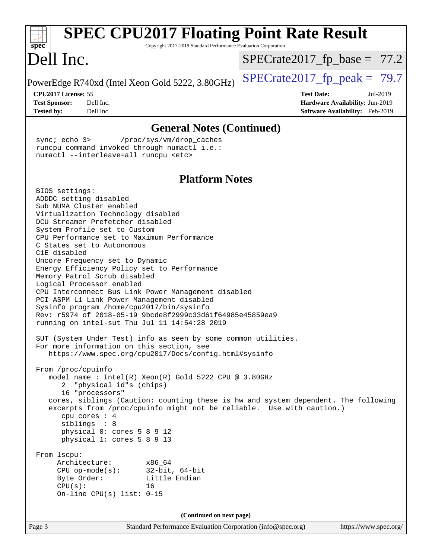| <b>SPEC CPU2017 Floating Point Rate Result</b><br>Copyright 2017-2019 Standard Performance Evaluation Corporation<br>$spec^*$                                                                                                                                                                                                                                                                                                                                                                                                                                                                                                                                                                                                                                                                                                                                                                                                                                                                                                                                                                                                                                                                                                                                                                                                                                                                                                 |                                                                                                     |
|-------------------------------------------------------------------------------------------------------------------------------------------------------------------------------------------------------------------------------------------------------------------------------------------------------------------------------------------------------------------------------------------------------------------------------------------------------------------------------------------------------------------------------------------------------------------------------------------------------------------------------------------------------------------------------------------------------------------------------------------------------------------------------------------------------------------------------------------------------------------------------------------------------------------------------------------------------------------------------------------------------------------------------------------------------------------------------------------------------------------------------------------------------------------------------------------------------------------------------------------------------------------------------------------------------------------------------------------------------------------------------------------------------------------------------|-----------------------------------------------------------------------------------------------------|
| Dell Inc.                                                                                                                                                                                                                                                                                                                                                                                                                                                                                                                                                                                                                                                                                                                                                                                                                                                                                                                                                                                                                                                                                                                                                                                                                                                                                                                                                                                                                     | $SPECrate2017_fp\_base = 77.2$                                                                      |
| PowerEdge R740xd (Intel Xeon Gold 5222, 3.80GHz)                                                                                                                                                                                                                                                                                                                                                                                                                                                                                                                                                                                                                                                                                                                                                                                                                                                                                                                                                                                                                                                                                                                                                                                                                                                                                                                                                                              | $SPECrate2017_fp\_peak = 79.7$                                                                      |
| CPU2017 License: 55<br><b>Test Sponsor:</b><br>Dell Inc.<br>Dell Inc.<br><b>Tested by:</b>                                                                                                                                                                                                                                                                                                                                                                                                                                                                                                                                                                                                                                                                                                                                                                                                                                                                                                                                                                                                                                                                                                                                                                                                                                                                                                                                    | <b>Test Date:</b><br>Jul-2019<br>Hardware Availability: Jun-2019<br>Software Availability: Feb-2019 |
| <b>General Notes (Continued)</b>                                                                                                                                                                                                                                                                                                                                                                                                                                                                                                                                                                                                                                                                                                                                                                                                                                                                                                                                                                                                                                                                                                                                                                                                                                                                                                                                                                                              |                                                                                                     |
| sync; echo 3><br>/proc/sys/vm/drop_caches<br>runcpu command invoked through numactl i.e.:<br>numactl --interleave=all runcpu <etc></etc>                                                                                                                                                                                                                                                                                                                                                                                                                                                                                                                                                                                                                                                                                                                                                                                                                                                                                                                                                                                                                                                                                                                                                                                                                                                                                      |                                                                                                     |
| <b>Platform Notes</b>                                                                                                                                                                                                                                                                                                                                                                                                                                                                                                                                                                                                                                                                                                                                                                                                                                                                                                                                                                                                                                                                                                                                                                                                                                                                                                                                                                                                         |                                                                                                     |
| BIOS settings:<br>ADDDC setting disabled<br>Sub NUMA Cluster enabled<br>Virtualization Technology disabled<br>DCU Streamer Prefetcher disabled<br>System Profile set to Custom<br>CPU Performance set to Maximum Performance<br>C States set to Autonomous<br>C1E disabled<br>Uncore Frequency set to Dynamic<br>Energy Efficiency Policy set to Performance<br>Memory Patrol Scrub disabled<br>Logical Processor enabled<br>CPU Interconnect Bus Link Power Management disabled<br>PCI ASPM L1 Link Power Management disabled<br>Sysinfo program /home/cpu2017/bin/sysinfo<br>Rev: r5974 of 2018-05-19 9bcde8f2999c33d61f64985e45859ea9<br>running on intel-sut Thu Jul 11 14:54:28 2019<br>SUT (System Under Test) info as seen by some common utilities.<br>For more information on this section, see<br>https://www.spec.org/cpu2017/Docs/config.html#sysinfo<br>From /proc/cpuinfo<br>model name: Intel(R) Xeon(R) Gold 5222 CPU @ 3.80GHz<br>"physical id"s (chips)<br>2<br>16 "processors"<br>cores, siblings (Caution: counting these is hw and system dependent. The following<br>excerpts from /proc/cpuinfo might not be reliable. Use with caution.)<br>cpu cores $: 4$<br>siblings : 8<br>physical 0: cores 5 8 9 12<br>physical 1: cores 5 8 9 13<br>From lscpu:<br>Architecture:<br>x86_64<br>CPU op-mode(s): $32-bit, 64-bit$<br>Little Endian<br>Byte Order:<br>CPU(s):<br>16<br>On-line CPU(s) list: $0-15$ |                                                                                                     |
| (Continued on next page)                                                                                                                                                                                                                                                                                                                                                                                                                                                                                                                                                                                                                                                                                                                                                                                                                                                                                                                                                                                                                                                                                                                                                                                                                                                                                                                                                                                                      |                                                                                                     |
| Page 3<br>Standard Performance Evaluation Corporation (info@spec.org)                                                                                                                                                                                                                                                                                                                                                                                                                                                                                                                                                                                                                                                                                                                                                                                                                                                                                                                                                                                                                                                                                                                                                                                                                                                                                                                                                         | https://www.spec.org/                                                                               |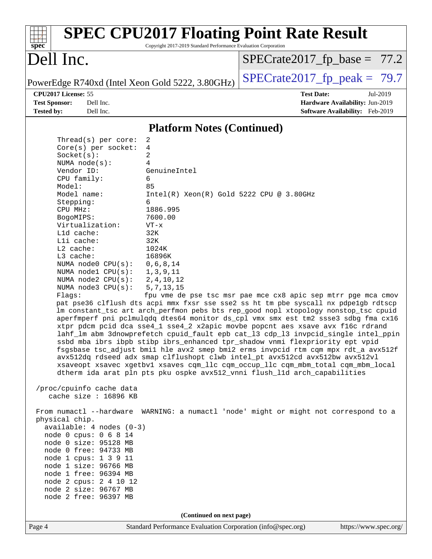#### Page 4 Standard Performance Evaluation Corporation [\(info@spec.org\)](mailto:info@spec.org) <https://www.spec.org/> **[spec](http://www.spec.org/) [SPEC CPU2017 Floating Point Rate Result](http://www.spec.org/auto/cpu2017/Docs/result-fields.html#SPECCPU2017FloatingPointRateResult)** Copyright 2017-2019 Standard Performance Evaluation Corporation Dell Inc. PowerEdge R740xd (Intel Xeon Gold 5222, 3.80GHz)  $\left|$  [SPECrate2017\\_fp\\_peak =](http://www.spec.org/auto/cpu2017/Docs/result-fields.html#SPECrate2017fppeak) 79.7  $SPECTate2017_fp\_base = 77.2$ **[CPU2017 License:](http://www.spec.org/auto/cpu2017/Docs/result-fields.html#CPU2017License)** 55 **[Test Date:](http://www.spec.org/auto/cpu2017/Docs/result-fields.html#TestDate)** Jul-2019 **[Test Sponsor:](http://www.spec.org/auto/cpu2017/Docs/result-fields.html#TestSponsor)** Dell Inc. **[Hardware Availability:](http://www.spec.org/auto/cpu2017/Docs/result-fields.html#HardwareAvailability)** Jun-2019 **[Tested by:](http://www.spec.org/auto/cpu2017/Docs/result-fields.html#Testedby)** Dell Inc. **[Software Availability:](http://www.spec.org/auto/cpu2017/Docs/result-fields.html#SoftwareAvailability)** Feb-2019 **[Platform Notes \(Continued\)](http://www.spec.org/auto/cpu2017/Docs/result-fields.html#PlatformNotes)** Thread(s) per core: 2 Core(s) per socket: 4 Socket(s): 2 NUMA node(s): 4 Vendor ID: GenuineIntel CPU family: 6 Model: 85<br>Model name: 1  $Intel(R)$  Xeon(R) Gold 5222 CPU @ 3.80GHz Stepping: 6 CPU MHz: 1886.995 BogoMIPS: 7600.00 Virtualization: VT-x L1d cache: 32K L1i cache: 32K L2 cache: 1024K L3 cache: 16896K<br>NUMA node0 CPU(s): 0,6,8,14 NUMA node $0$  CPU( $s$ ): NUMA node1 CPU(s): 1,3,9,11 NUMA node2 CPU(s): 2,4,10,12 NUMA node3 CPU(s): 5,7,13,15 Flags: fpu vme de pse tsc msr pae mce cx8 apic sep mtrr pge mca cmov pat pse36 clflush dts acpi mmx fxsr sse sse2 ss ht tm pbe syscall nx pdpe1gb rdtscp lm constant\_tsc art arch\_perfmon pebs bts rep\_good nopl xtopology nonstop\_tsc cpuid aperfmperf pni pclmulqdq dtes64 monitor ds\_cpl vmx smx est tm2 ssse3 sdbg fma cx16 xtpr pdcm pcid dca sse4\_1 sse4\_2 x2apic movbe popcnt aes xsave avx f16c rdrand lahf\_lm abm 3dnowprefetch cpuid\_fault epb cat\_l3 cdp\_l3 invpcid\_single intel\_ppin ssbd mba ibrs ibpb stibp ibrs\_enhanced tpr\_shadow vnmi flexpriority ept vpid fsgsbase tsc\_adjust bmi1 hle avx2 smep bmi2 erms invpcid rtm cqm mpx rdt\_a avx512f avx512dq rdseed adx smap clflushopt clwb intel\_pt avx512cd avx512bw avx512vl xsaveopt xsavec xgetbv1 xsaves cqm\_llc cqm\_occup\_llc cqm\_mbm\_total cqm\_mbm\_local dtherm ida arat pln pts pku ospke avx512\_vnni flush\_l1d arch\_capabilities /proc/cpuinfo cache data cache size : 16896 KB From numactl --hardware WARNING: a numactl 'node' might or might not correspond to a physical chip. available: 4 nodes (0-3) node 0 cpus: 0 6 8 14 node 0 size: 95128 MB node 0 free: 94733 MB node 1 cpus: 1 3 9 11 node 1 size: 96766 MB node 1 free: 96394 MB node 2 cpus: 2 4 10 12 node 2 size: 96767 MB node 2 free: 96397 MB **(Continued on next page)**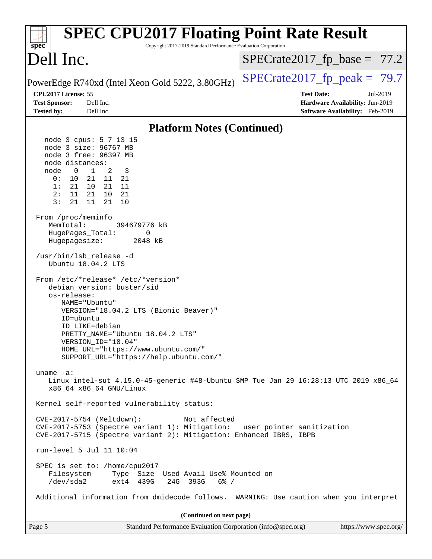| <b>SPEC CPU2017 Floating Point Rate Result</b><br>$spec^*$<br>Copyright 2017-2019 Standard Performance Evaluation Corporation                                                                                                                                                                                                                                                                                                                                                                                                                                                                                                                               |                                                                                                     |
|-------------------------------------------------------------------------------------------------------------------------------------------------------------------------------------------------------------------------------------------------------------------------------------------------------------------------------------------------------------------------------------------------------------------------------------------------------------------------------------------------------------------------------------------------------------------------------------------------------------------------------------------------------------|-----------------------------------------------------------------------------------------------------|
| Dell Inc.                                                                                                                                                                                                                                                                                                                                                                                                                                                                                                                                                                                                                                                   | $SPECrate2017_fp\_base = 77.2$                                                                      |
| PowerEdge R740xd (Intel Xeon Gold 5222, 3.80GHz)                                                                                                                                                                                                                                                                                                                                                                                                                                                                                                                                                                                                            | $SPECrate2017_fp\_peak = 79.7$                                                                      |
| CPU2017 License: 55<br><b>Test Sponsor:</b><br>Dell Inc.<br><b>Tested by:</b><br>Dell Inc.                                                                                                                                                                                                                                                                                                                                                                                                                                                                                                                                                                  | <b>Test Date:</b><br>Jul-2019<br>Hardware Availability: Jun-2019<br>Software Availability: Feb-2019 |
| <b>Platform Notes (Continued)</b>                                                                                                                                                                                                                                                                                                                                                                                                                                                                                                                                                                                                                           |                                                                                                     |
| node 3 cpus: 5 7 13 15<br>node 3 size: 96767 MB<br>node 3 free: 96397 MB<br>node distances:<br>node<br>$\overline{0}$<br>1<br>2<br>3<br>0 :<br>10<br>21<br>11<br>-21<br>21<br>10 21<br>11<br>1:<br>2:<br>11<br>21<br>10<br>-21<br>3:<br>21<br>21<br>11<br>10<br>From /proc/meminfo<br>MemTotal:<br>394679776 kB<br>HugePages_Total:<br>0<br>2048 kB<br>Hugepagesize:<br>/usr/bin/lsb_release -d<br>Ubuntu 18.04.2 LTS<br>From /etc/*release* /etc/*version*<br>debian_version: buster/sid<br>os-release:<br>NAME="Ubuntu"<br>VERSION="18.04.2 LTS (Bionic Beaver)"<br>ID=ubuntu<br>ID LIKE=debian<br>PRETTY_NAME="Ubuntu 18.04.2 LTS"<br>VERSION_ID="18.04" |                                                                                                     |
| HOME_URL="https://www.ubuntu.com/"<br>SUPPORT_URL="https://help.ubuntu.com/"                                                                                                                                                                                                                                                                                                                                                                                                                                                                                                                                                                                |                                                                                                     |
| $uname -a$ :<br>Linux intel-sut 4.15.0-45-generic #48-Ubuntu SMP Tue Jan 29 16:28:13 UTC 2019 x86_64<br>x86_64 x86_64 GNU/Linux                                                                                                                                                                                                                                                                                                                                                                                                                                                                                                                             |                                                                                                     |
| Kernel self-reported vulnerability status:                                                                                                                                                                                                                                                                                                                                                                                                                                                                                                                                                                                                                  |                                                                                                     |
| CVE-2017-5754 (Meltdown):<br>Not affected<br>CVE-2017-5753 (Spectre variant 1): Mitigation: __user pointer sanitization<br>CVE-2017-5715 (Spectre variant 2): Mitigation: Enhanced IBRS, IBPB                                                                                                                                                                                                                                                                                                                                                                                                                                                               |                                                                                                     |
| run-level 5 Jul 11 10:04                                                                                                                                                                                                                                                                                                                                                                                                                                                                                                                                                                                                                                    |                                                                                                     |
| SPEC is set to: /home/cpu2017<br>Type Size Used Avail Use% Mounted on<br>Filesystem<br>/dev/sda2<br>ext4 439G<br>24G 393G<br>$6\%$ /                                                                                                                                                                                                                                                                                                                                                                                                                                                                                                                        |                                                                                                     |
| Additional information from dmidecode follows. WARNING: Use caution when you interpret                                                                                                                                                                                                                                                                                                                                                                                                                                                                                                                                                                      |                                                                                                     |
| (Continued on next page)                                                                                                                                                                                                                                                                                                                                                                                                                                                                                                                                                                                                                                    |                                                                                                     |
| Standard Performance Evaluation Corporation (info@spec.org)<br>Page 5                                                                                                                                                                                                                                                                                                                                                                                                                                                                                                                                                                                       | https://www.spec.org/                                                                               |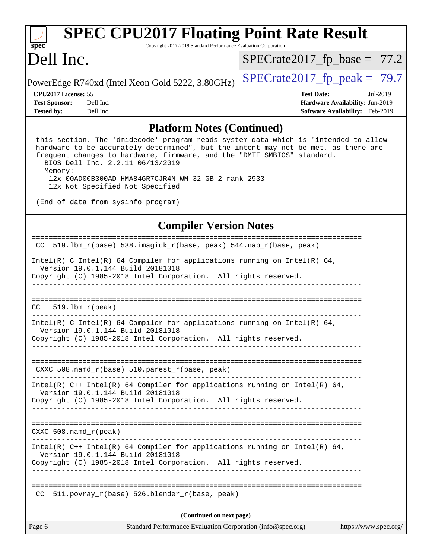| S) | nec |  |  |
|----|-----|--|--|

# **[SPEC CPU2017 Floating Point Rate Result](http://www.spec.org/auto/cpu2017/Docs/result-fields.html#SPECCPU2017FloatingPointRateResult)**

Copyright 2017-2019 Standard Performance Evaluation Corporation

## Dell Inc.

 $SPECrate2017_fp\_base = 77.2$ 

PowerEdge R740xd (Intel Xeon Gold 5222, 3.80GHz)  $\left|$  [SPECrate2017\\_fp\\_peak =](http://www.spec.org/auto/cpu2017/Docs/result-fields.html#SPECrate2017fppeak) 79.7

**[Tested by:](http://www.spec.org/auto/cpu2017/Docs/result-fields.html#Testedby)** Dell Inc. **[Software Availability:](http://www.spec.org/auto/cpu2017/Docs/result-fields.html#SoftwareAvailability)** Feb-2019

**[CPU2017 License:](http://www.spec.org/auto/cpu2017/Docs/result-fields.html#CPU2017License)** 55 **[Test Date:](http://www.spec.org/auto/cpu2017/Docs/result-fields.html#TestDate)** Jul-2019 **[Test Sponsor:](http://www.spec.org/auto/cpu2017/Docs/result-fields.html#TestSponsor)** Dell Inc. **[Hardware Availability:](http://www.spec.org/auto/cpu2017/Docs/result-fields.html#HardwareAvailability)** Jun-2019

#### **[Platform Notes \(Continued\)](http://www.spec.org/auto/cpu2017/Docs/result-fields.html#PlatformNotes)**

 this section. The 'dmidecode' program reads system data which is "intended to allow hardware to be accurately determined", but the intent may not be met, as there are frequent changes to hardware, firmware, and the "DMTF SMBIOS" standard. BIOS Dell Inc. 2.2.11 06/13/2019 Memory:

 12x 00AD00B300AD HMA84GR7CJR4N-WM 32 GB 2 rank 2933 12x Not Specified Not Specified

(End of data from sysinfo program)

#### **[Compiler Version Notes](http://www.spec.org/auto/cpu2017/Docs/result-fields.html#CompilerVersionNotes)**

| CC 519.1bm_r(base) 538.imagick_r(base, peak) 544.nab_r(base, peak)                                                |
|-------------------------------------------------------------------------------------------------------------------|
| Intel(R) C Intel(R) 64 Compiler for applications running on Intel(R) 64,<br>Version 19.0.1.144 Build 20181018     |
| Copyright (C) 1985-2018 Intel Corporation. All rights reserved.<br>_____________________________________          |
|                                                                                                                   |
|                                                                                                                   |
| $CC = 519.1bm_r (peak)$                                                                                           |
| Intel(R) C Intel(R) 64 Compiler for applications running on Intel(R) 64,<br>Version 19.0.1.144 Build 20181018     |
| Copyright (C) 1985-2018 Intel Corporation. All rights reserved.                                                   |
|                                                                                                                   |
| CXXC 508. namd $r(base)$ 510. parest $r(base, peak)$                                                              |
| Intel(R) $C++$ Intel(R) 64 Compiler for applications running on Intel(R) 64,<br>Version 19.0.1.144 Build 20181018 |
| Copyright (C) 1985-2018 Intel Corporation. All rights reserved.                                                   |
|                                                                                                                   |
| CXXC $508.namd_r(peak)$                                                                                           |
| Intel(R) $C++$ Intel(R) 64 Compiler for applications running on Intel(R) 64,<br>Version 19.0.1.144 Build 20181018 |
| Copyright (C) 1985-2018 Intel Corporation. All rights reserved.                                                   |
| ________________________________                                                                                  |
| $511. povray_r(base) 526. blender_r(base, peak)$<br>CC.                                                           |
| (Continued on next page)                                                                                          |
| Page 6<br>Standard Performance Evaluation Corporation (info@spec.org)<br>https://www.spec.org/                    |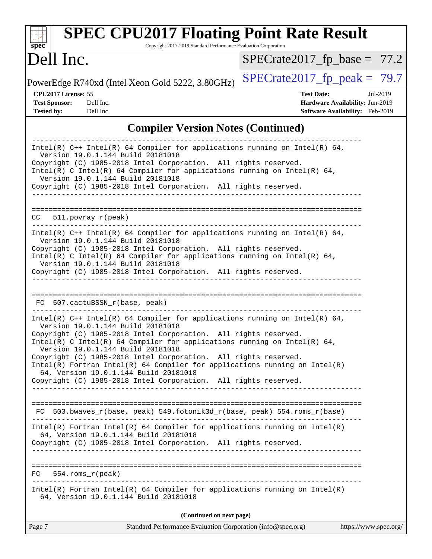| Dell Inc.                                                                                                                                                                                                                                                                                                                                                                                                                                                                                                                                                            | $SPECrate2017_fp\_base = 77.2$                                                                      |
|----------------------------------------------------------------------------------------------------------------------------------------------------------------------------------------------------------------------------------------------------------------------------------------------------------------------------------------------------------------------------------------------------------------------------------------------------------------------------------------------------------------------------------------------------------------------|-----------------------------------------------------------------------------------------------------|
| PowerEdge R740xd (Intel Xeon Gold 5222, 3.80GHz)                                                                                                                                                                                                                                                                                                                                                                                                                                                                                                                     | $SPECrate2017_fp\_peak = 79.7$                                                                      |
| CPU2017 License: 55<br><b>Test Sponsor:</b><br>Dell Inc.<br><b>Tested by:</b><br>Dell Inc.                                                                                                                                                                                                                                                                                                                                                                                                                                                                           | <b>Test Date:</b><br>Jul-2019<br>Hardware Availability: Jun-2019<br>Software Availability: Feb-2019 |
| <b>Compiler Version Notes (Continued)</b>                                                                                                                                                                                                                                                                                                                                                                                                                                                                                                                            |                                                                                                     |
| Intel(R) $C++$ Intel(R) 64 Compiler for applications running on Intel(R) 64,<br>Version 19.0.1.144 Build 20181018<br>Copyright (C) 1985-2018 Intel Corporation. All rights reserved.<br>Intel(R) C Intel(R) 64 Compiler for applications running on Intel(R) 64,<br>Version 19.0.1.144 Build 20181018<br>Copyright (C) 1985-2018 Intel Corporation. All rights reserved.                                                                                                                                                                                             |                                                                                                     |
| 511.povray_r(peak)<br>CC.                                                                                                                                                                                                                                                                                                                                                                                                                                                                                                                                            |                                                                                                     |
| Intel(R) $C++$ Intel(R) 64 Compiler for applications running on Intel(R) 64,<br>Version 19.0.1.144 Build 20181018<br>Copyright (C) 1985-2018 Intel Corporation. All rights reserved.<br>Intel(R) C Intel(R) 64 Compiler for applications running on Intel(R) 64,<br>Version 19.0.1.144 Build 20181018<br>Copyright (C) 1985-2018 Intel Corporation. All rights reserved.                                                                                                                                                                                             |                                                                                                     |
| 507.cactuBSSN_r(base, peak)<br>FC.                                                                                                                                                                                                                                                                                                                                                                                                                                                                                                                                   |                                                                                                     |
| Intel(R) $C++$ Intel(R) 64 Compiler for applications running on Intel(R) 64,<br>Version 19.0.1.144 Build 20181018<br>Copyright (C) 1985-2018 Intel Corporation. All rights reserved.<br>Intel(R) C Intel(R) 64 Compiler for applications running on Intel(R) 64,<br>Version 19.0.1.144 Build 20181018<br>Copyright (C) 1985-2018 Intel Corporation. All rights reserved.<br>$Intel(R)$ Fortran Intel(R) 64 Compiler for applications running on Intel(R)<br>64, Version 19.0.1.144 Build 20181018<br>Copyright (C) 1985-2018 Intel Corporation. All rights reserved. |                                                                                                     |
| FC 503.bwaves_r(base, peak) 549.fotonik3d_r(base, peak) 554.roms_r(base)                                                                                                                                                                                                                                                                                                                                                                                                                                                                                             |                                                                                                     |
| $Intel(R)$ Fortran Intel(R) 64 Compiler for applications running on Intel(R)<br>64, Version 19.0.1.144 Build 20181018                                                                                                                                                                                                                                                                                                                                                                                                                                                |                                                                                                     |

Intel(R) Fortran Intel(R) 64 Compiler for applications running on Intel(R) 64, Version 19.0.1.144 Build 20181018

**(Continued on next page)**

Page 7 Standard Performance Evaluation Corporation [\(info@spec.org\)](mailto:info@spec.org) <https://www.spec.org/>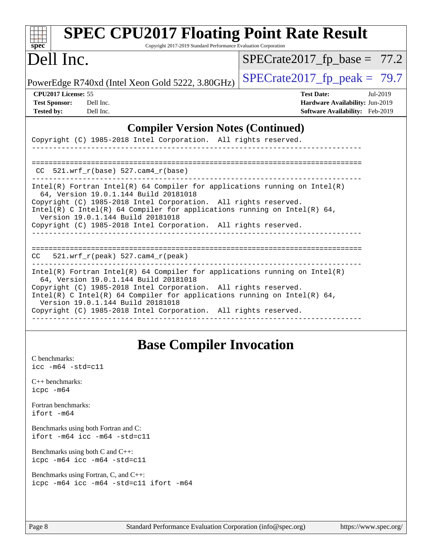| <b>SPEC CPU2017 Floating Point Rate Result</b>                                                                        |                                 |
|-----------------------------------------------------------------------------------------------------------------------|---------------------------------|
| Copyright 2017-2019 Standard Performance Evaluation Corporation<br>$spec^*$                                           |                                 |
| Dell Inc.                                                                                                             | $SPECrate2017_fp\_base = 77.2$  |
| PowerEdge R740xd (Intel Xeon Gold 5222, 3.80GHz)                                                                      | $SPECrate2017_fp\_peak = 79.7$  |
| CPU2017 License: 55                                                                                                   | <b>Test Date:</b><br>Jul-2019   |
| <b>Test Sponsor:</b><br>Dell Inc.                                                                                     | Hardware Availability: Jun-2019 |
| <b>Tested by:</b><br>Dell Inc.                                                                                        | Software Availability: Feb-2019 |
| <b>Compiler Version Notes (Continued)</b>                                                                             |                                 |
| Copyright (C) 1985-2018 Intel Corporation. All rights reserved.                                                       |                                 |
|                                                                                                                       |                                 |
|                                                                                                                       |                                 |
| $521.wrf_r(base)$ 527.cam4_r(base)<br>CC.                                                                             |                                 |
| $Intel(R)$ Fortran Intel(R) 64 Compiler for applications running on Intel(R)                                          |                                 |
| 64, Version 19.0.1.144 Build 20181018<br>Copyright (C) 1985-2018 Intel Corporation. All rights reserved.              |                                 |
| $Intel(R)$ C Intel(R) 64 Compiler for applications running on Intel(R) 64,                                            |                                 |
| Version 19.0.1.144 Build 20181018                                                                                     |                                 |
| Copyright (C) 1985-2018 Intel Corporation. All rights reserved.                                                       |                                 |
|                                                                                                                       |                                 |
| $521.wrf_r(peak) 527.cam4_r(peak)$<br>CC.                                                                             |                                 |
| $Intel(R)$ Fortran Intel(R) 64 Compiler for applications running on Intel(R)<br>64, Version 19.0.1.144 Build 20181018 |                                 |
| Copyright (C) 1985-2018 Intel Corporation. All rights reserved.                                                       |                                 |
| $Intel(R)$ C Intel(R) 64 Compiler for applications running on Intel(R) 64,<br>Version 19.0.1.144 Build 20181018       |                                 |
| Copyright (C) 1985-2018 Intel Corporation. All rights reserved.                                                       |                                 |
|                                                                                                                       |                                 |
|                                                                                                                       |                                 |

## **[Base Compiler Invocation](http://www.spec.org/auto/cpu2017/Docs/result-fields.html#BaseCompilerInvocation)**

[C benchmarks](http://www.spec.org/auto/cpu2017/Docs/result-fields.html#Cbenchmarks): [icc -m64 -std=c11](http://www.spec.org/cpu2017/results/res2019q3/cpu2017-20190722-16275.flags.html#user_CCbase_intel_icc_64bit_c11_33ee0cdaae7deeeab2a9725423ba97205ce30f63b9926c2519791662299b76a0318f32ddfffdc46587804de3178b4f9328c46fa7c2b0cd779d7a61945c91cd35)

[C++ benchmarks:](http://www.spec.org/auto/cpu2017/Docs/result-fields.html#CXXbenchmarks) [icpc -m64](http://www.spec.org/cpu2017/results/res2019q3/cpu2017-20190722-16275.flags.html#user_CXXbase_intel_icpc_64bit_4ecb2543ae3f1412ef961e0650ca070fec7b7afdcd6ed48761b84423119d1bf6bdf5cad15b44d48e7256388bc77273b966e5eb805aefd121eb22e9299b2ec9d9)

[Fortran benchmarks](http://www.spec.org/auto/cpu2017/Docs/result-fields.html#Fortranbenchmarks): [ifort -m64](http://www.spec.org/cpu2017/results/res2019q3/cpu2017-20190722-16275.flags.html#user_FCbase_intel_ifort_64bit_24f2bb282fbaeffd6157abe4f878425411749daecae9a33200eee2bee2fe76f3b89351d69a8130dd5949958ce389cf37ff59a95e7a40d588e8d3a57e0c3fd751)

[Benchmarks using both Fortran and C](http://www.spec.org/auto/cpu2017/Docs/result-fields.html#BenchmarksusingbothFortranandC): [ifort -m64](http://www.spec.org/cpu2017/results/res2019q3/cpu2017-20190722-16275.flags.html#user_CC_FCbase_intel_ifort_64bit_24f2bb282fbaeffd6157abe4f878425411749daecae9a33200eee2bee2fe76f3b89351d69a8130dd5949958ce389cf37ff59a95e7a40d588e8d3a57e0c3fd751) [icc -m64 -std=c11](http://www.spec.org/cpu2017/results/res2019q3/cpu2017-20190722-16275.flags.html#user_CC_FCbase_intel_icc_64bit_c11_33ee0cdaae7deeeab2a9725423ba97205ce30f63b9926c2519791662299b76a0318f32ddfffdc46587804de3178b4f9328c46fa7c2b0cd779d7a61945c91cd35)

[Benchmarks using both C and C++](http://www.spec.org/auto/cpu2017/Docs/result-fields.html#BenchmarksusingbothCandCXX): [icpc -m64](http://www.spec.org/cpu2017/results/res2019q3/cpu2017-20190722-16275.flags.html#user_CC_CXXbase_intel_icpc_64bit_4ecb2543ae3f1412ef961e0650ca070fec7b7afdcd6ed48761b84423119d1bf6bdf5cad15b44d48e7256388bc77273b966e5eb805aefd121eb22e9299b2ec9d9) [icc -m64 -std=c11](http://www.spec.org/cpu2017/results/res2019q3/cpu2017-20190722-16275.flags.html#user_CC_CXXbase_intel_icc_64bit_c11_33ee0cdaae7deeeab2a9725423ba97205ce30f63b9926c2519791662299b76a0318f32ddfffdc46587804de3178b4f9328c46fa7c2b0cd779d7a61945c91cd35)

[Benchmarks using Fortran, C, and C++:](http://www.spec.org/auto/cpu2017/Docs/result-fields.html#BenchmarksusingFortranCandCXX) [icpc -m64](http://www.spec.org/cpu2017/results/res2019q3/cpu2017-20190722-16275.flags.html#user_CC_CXX_FCbase_intel_icpc_64bit_4ecb2543ae3f1412ef961e0650ca070fec7b7afdcd6ed48761b84423119d1bf6bdf5cad15b44d48e7256388bc77273b966e5eb805aefd121eb22e9299b2ec9d9) [icc -m64 -std=c11](http://www.spec.org/cpu2017/results/res2019q3/cpu2017-20190722-16275.flags.html#user_CC_CXX_FCbase_intel_icc_64bit_c11_33ee0cdaae7deeeab2a9725423ba97205ce30f63b9926c2519791662299b76a0318f32ddfffdc46587804de3178b4f9328c46fa7c2b0cd779d7a61945c91cd35) [ifort -m64](http://www.spec.org/cpu2017/results/res2019q3/cpu2017-20190722-16275.flags.html#user_CC_CXX_FCbase_intel_ifort_64bit_24f2bb282fbaeffd6157abe4f878425411749daecae9a33200eee2bee2fe76f3b89351d69a8130dd5949958ce389cf37ff59a95e7a40d588e8d3a57e0c3fd751)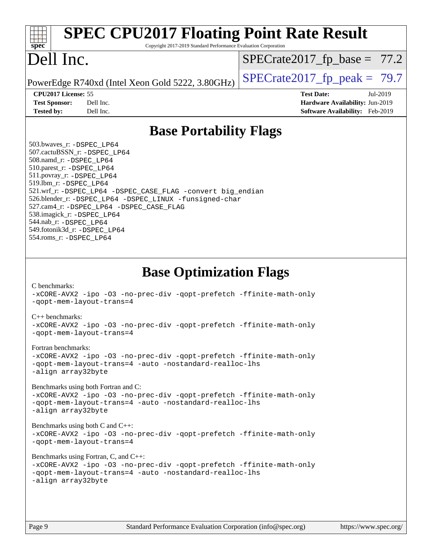#### Page 9 Standard Performance Evaluation Corporation [\(info@spec.org\)](mailto:info@spec.org) <https://www.spec.org/> **[spec](http://www.spec.org/) [SPEC CPU2017 Floating Point Rate Result](http://www.spec.org/auto/cpu2017/Docs/result-fields.html#SPECCPU2017FloatingPointRateResult)** Copyright 2017-2019 Standard Performance Evaluation Corporation Dell Inc. PowerEdge R740xd (Intel Xeon Gold 5222, 3.80GHz)  $\left|$  [SPECrate2017\\_fp\\_peak =](http://www.spec.org/auto/cpu2017/Docs/result-fields.html#SPECrate2017fppeak) 79.7  $SPECTate2017_fp\_base = 77.2$ **[CPU2017 License:](http://www.spec.org/auto/cpu2017/Docs/result-fields.html#CPU2017License)** 55 **[Test Date:](http://www.spec.org/auto/cpu2017/Docs/result-fields.html#TestDate)** Jul-2019 **[Test Sponsor:](http://www.spec.org/auto/cpu2017/Docs/result-fields.html#TestSponsor)** Dell Inc. **[Hardware Availability:](http://www.spec.org/auto/cpu2017/Docs/result-fields.html#HardwareAvailability)** Jun-2019 **[Tested by:](http://www.spec.org/auto/cpu2017/Docs/result-fields.html#Testedby)** Dell Inc. **[Software Availability:](http://www.spec.org/auto/cpu2017/Docs/result-fields.html#SoftwareAvailability)** Feb-2019 **[Base Portability Flags](http://www.spec.org/auto/cpu2017/Docs/result-fields.html#BasePortabilityFlags)** 503.bwaves\_r: [-DSPEC\\_LP64](http://www.spec.org/cpu2017/results/res2019q3/cpu2017-20190722-16275.flags.html#suite_basePORTABILITY503_bwaves_r_DSPEC_LP64) 507.cactuBSSN\_r: [-DSPEC\\_LP64](http://www.spec.org/cpu2017/results/res2019q3/cpu2017-20190722-16275.flags.html#suite_basePORTABILITY507_cactuBSSN_r_DSPEC_LP64) 508.namd\_r: [-DSPEC\\_LP64](http://www.spec.org/cpu2017/results/res2019q3/cpu2017-20190722-16275.flags.html#suite_basePORTABILITY508_namd_r_DSPEC_LP64) 510.parest\_r: [-DSPEC\\_LP64](http://www.spec.org/cpu2017/results/res2019q3/cpu2017-20190722-16275.flags.html#suite_basePORTABILITY510_parest_r_DSPEC_LP64) 511.povray\_r: [-DSPEC\\_LP64](http://www.spec.org/cpu2017/results/res2019q3/cpu2017-20190722-16275.flags.html#suite_basePORTABILITY511_povray_r_DSPEC_LP64) 519.lbm\_r: [-DSPEC\\_LP64](http://www.spec.org/cpu2017/results/res2019q3/cpu2017-20190722-16275.flags.html#suite_basePORTABILITY519_lbm_r_DSPEC_LP64) 521.wrf\_r: [-DSPEC\\_LP64](http://www.spec.org/cpu2017/results/res2019q3/cpu2017-20190722-16275.flags.html#suite_basePORTABILITY521_wrf_r_DSPEC_LP64) [-DSPEC\\_CASE\\_FLAG](http://www.spec.org/cpu2017/results/res2019q3/cpu2017-20190722-16275.flags.html#b521.wrf_r_baseCPORTABILITY_DSPEC_CASE_FLAG) [-convert big\\_endian](http://www.spec.org/cpu2017/results/res2019q3/cpu2017-20190722-16275.flags.html#user_baseFPORTABILITY521_wrf_r_convert_big_endian_c3194028bc08c63ac5d04de18c48ce6d347e4e562e8892b8bdbdc0214820426deb8554edfa529a3fb25a586e65a3d812c835984020483e7e73212c4d31a38223) 526.blender\_r: [-DSPEC\\_LP64](http://www.spec.org/cpu2017/results/res2019q3/cpu2017-20190722-16275.flags.html#suite_basePORTABILITY526_blender_r_DSPEC_LP64) [-DSPEC\\_LINUX](http://www.spec.org/cpu2017/results/res2019q3/cpu2017-20190722-16275.flags.html#b526.blender_r_baseCPORTABILITY_DSPEC_LINUX) [-funsigned-char](http://www.spec.org/cpu2017/results/res2019q3/cpu2017-20190722-16275.flags.html#user_baseCPORTABILITY526_blender_r_force_uchar_40c60f00ab013830e2dd6774aeded3ff59883ba5a1fc5fc14077f794d777847726e2a5858cbc7672e36e1b067e7e5c1d9a74f7176df07886a243d7cc18edfe67) 527.cam4\_r: [-DSPEC\\_LP64](http://www.spec.org/cpu2017/results/res2019q3/cpu2017-20190722-16275.flags.html#suite_basePORTABILITY527_cam4_r_DSPEC_LP64) [-DSPEC\\_CASE\\_FLAG](http://www.spec.org/cpu2017/results/res2019q3/cpu2017-20190722-16275.flags.html#b527.cam4_r_baseCPORTABILITY_DSPEC_CASE_FLAG) 538.imagick\_r: [-DSPEC\\_LP64](http://www.spec.org/cpu2017/results/res2019q3/cpu2017-20190722-16275.flags.html#suite_basePORTABILITY538_imagick_r_DSPEC_LP64) 544.nab\_r: [-DSPEC\\_LP64](http://www.spec.org/cpu2017/results/res2019q3/cpu2017-20190722-16275.flags.html#suite_basePORTABILITY544_nab_r_DSPEC_LP64) 549.fotonik3d\_r: [-DSPEC\\_LP64](http://www.spec.org/cpu2017/results/res2019q3/cpu2017-20190722-16275.flags.html#suite_basePORTABILITY549_fotonik3d_r_DSPEC_LP64) 554.roms\_r: [-DSPEC\\_LP64](http://www.spec.org/cpu2017/results/res2019q3/cpu2017-20190722-16275.flags.html#suite_basePORTABILITY554_roms_r_DSPEC_LP64) **[Base Optimization Flags](http://www.spec.org/auto/cpu2017/Docs/result-fields.html#BaseOptimizationFlags)** [C benchmarks](http://www.spec.org/auto/cpu2017/Docs/result-fields.html#Cbenchmarks): [-xCORE-AVX2](http://www.spec.org/cpu2017/results/res2019q3/cpu2017-20190722-16275.flags.html#user_CCbase_f-xCORE-AVX2) [-ipo](http://www.spec.org/cpu2017/results/res2019q3/cpu2017-20190722-16275.flags.html#user_CCbase_f-ipo) [-O3](http://www.spec.org/cpu2017/results/res2019q3/cpu2017-20190722-16275.flags.html#user_CCbase_f-O3) [-no-prec-div](http://www.spec.org/cpu2017/results/res2019q3/cpu2017-20190722-16275.flags.html#user_CCbase_f-no-prec-div) [-qopt-prefetch](http://www.spec.org/cpu2017/results/res2019q3/cpu2017-20190722-16275.flags.html#user_CCbase_f-qopt-prefetch) [-ffinite-math-only](http://www.spec.org/cpu2017/results/res2019q3/cpu2017-20190722-16275.flags.html#user_CCbase_f_finite_math_only_cb91587bd2077682c4b38af759c288ed7c732db004271a9512da14a4f8007909a5f1427ecbf1a0fb78ff2a814402c6114ac565ca162485bbcae155b5e4258871) [-qopt-mem-layout-trans=4](http://www.spec.org/cpu2017/results/res2019q3/cpu2017-20190722-16275.flags.html#user_CCbase_f-qopt-mem-layout-trans_fa39e755916c150a61361b7846f310bcdf6f04e385ef281cadf3647acec3f0ae266d1a1d22d972a7087a248fd4e6ca390a3634700869573d231a252c784941a8) [C++ benchmarks:](http://www.spec.org/auto/cpu2017/Docs/result-fields.html#CXXbenchmarks) [-xCORE-AVX2](http://www.spec.org/cpu2017/results/res2019q3/cpu2017-20190722-16275.flags.html#user_CXXbase_f-xCORE-AVX2) [-ipo](http://www.spec.org/cpu2017/results/res2019q3/cpu2017-20190722-16275.flags.html#user_CXXbase_f-ipo) [-O3](http://www.spec.org/cpu2017/results/res2019q3/cpu2017-20190722-16275.flags.html#user_CXXbase_f-O3) [-no-prec-div](http://www.spec.org/cpu2017/results/res2019q3/cpu2017-20190722-16275.flags.html#user_CXXbase_f-no-prec-div) [-qopt-prefetch](http://www.spec.org/cpu2017/results/res2019q3/cpu2017-20190722-16275.flags.html#user_CXXbase_f-qopt-prefetch) [-ffinite-math-only](http://www.spec.org/cpu2017/results/res2019q3/cpu2017-20190722-16275.flags.html#user_CXXbase_f_finite_math_only_cb91587bd2077682c4b38af759c288ed7c732db004271a9512da14a4f8007909a5f1427ecbf1a0fb78ff2a814402c6114ac565ca162485bbcae155b5e4258871) [-qopt-mem-layout-trans=4](http://www.spec.org/cpu2017/results/res2019q3/cpu2017-20190722-16275.flags.html#user_CXXbase_f-qopt-mem-layout-trans_fa39e755916c150a61361b7846f310bcdf6f04e385ef281cadf3647acec3f0ae266d1a1d22d972a7087a248fd4e6ca390a3634700869573d231a252c784941a8) [Fortran benchmarks](http://www.spec.org/auto/cpu2017/Docs/result-fields.html#Fortranbenchmarks): [-xCORE-AVX2](http://www.spec.org/cpu2017/results/res2019q3/cpu2017-20190722-16275.flags.html#user_FCbase_f-xCORE-AVX2) [-ipo](http://www.spec.org/cpu2017/results/res2019q3/cpu2017-20190722-16275.flags.html#user_FCbase_f-ipo) [-O3](http://www.spec.org/cpu2017/results/res2019q3/cpu2017-20190722-16275.flags.html#user_FCbase_f-O3) [-no-prec-div](http://www.spec.org/cpu2017/results/res2019q3/cpu2017-20190722-16275.flags.html#user_FCbase_f-no-prec-div) [-qopt-prefetch](http://www.spec.org/cpu2017/results/res2019q3/cpu2017-20190722-16275.flags.html#user_FCbase_f-qopt-prefetch) [-ffinite-math-only](http://www.spec.org/cpu2017/results/res2019q3/cpu2017-20190722-16275.flags.html#user_FCbase_f_finite_math_only_cb91587bd2077682c4b38af759c288ed7c732db004271a9512da14a4f8007909a5f1427ecbf1a0fb78ff2a814402c6114ac565ca162485bbcae155b5e4258871) [-qopt-mem-layout-trans=4](http://www.spec.org/cpu2017/results/res2019q3/cpu2017-20190722-16275.flags.html#user_FCbase_f-qopt-mem-layout-trans_fa39e755916c150a61361b7846f310bcdf6f04e385ef281cadf3647acec3f0ae266d1a1d22d972a7087a248fd4e6ca390a3634700869573d231a252c784941a8) [-auto](http://www.spec.org/cpu2017/results/res2019q3/cpu2017-20190722-16275.flags.html#user_FCbase_f-auto) [-nostandard-realloc-lhs](http://www.spec.org/cpu2017/results/res2019q3/cpu2017-20190722-16275.flags.html#user_FCbase_f_2003_std_realloc_82b4557e90729c0f113870c07e44d33d6f5a304b4f63d4c15d2d0f1fab99f5daaed73bdb9275d9ae411527f28b936061aa8b9c8f2d63842963b95c9dd6426b8a) [-align array32byte](http://www.spec.org/cpu2017/results/res2019q3/cpu2017-20190722-16275.flags.html#user_FCbase_align_array32byte_b982fe038af199962ba9a80c053b8342c548c85b40b8e86eb3cc33dee0d7986a4af373ac2d51c3f7cf710a18d62fdce2948f201cd044323541f22fc0fffc51b6) [Benchmarks using both Fortran and C](http://www.spec.org/auto/cpu2017/Docs/result-fields.html#BenchmarksusingbothFortranandC): [-xCORE-AVX2](http://www.spec.org/cpu2017/results/res2019q3/cpu2017-20190722-16275.flags.html#user_CC_FCbase_f-xCORE-AVX2) [-ipo](http://www.spec.org/cpu2017/results/res2019q3/cpu2017-20190722-16275.flags.html#user_CC_FCbase_f-ipo) [-O3](http://www.spec.org/cpu2017/results/res2019q3/cpu2017-20190722-16275.flags.html#user_CC_FCbase_f-O3) [-no-prec-div](http://www.spec.org/cpu2017/results/res2019q3/cpu2017-20190722-16275.flags.html#user_CC_FCbase_f-no-prec-div) [-qopt-prefetch](http://www.spec.org/cpu2017/results/res2019q3/cpu2017-20190722-16275.flags.html#user_CC_FCbase_f-qopt-prefetch) [-ffinite-math-only](http://www.spec.org/cpu2017/results/res2019q3/cpu2017-20190722-16275.flags.html#user_CC_FCbase_f_finite_math_only_cb91587bd2077682c4b38af759c288ed7c732db004271a9512da14a4f8007909a5f1427ecbf1a0fb78ff2a814402c6114ac565ca162485bbcae155b5e4258871) [-qopt-mem-layout-trans=4](http://www.spec.org/cpu2017/results/res2019q3/cpu2017-20190722-16275.flags.html#user_CC_FCbase_f-qopt-mem-layout-trans_fa39e755916c150a61361b7846f310bcdf6f04e385ef281cadf3647acec3f0ae266d1a1d22d972a7087a248fd4e6ca390a3634700869573d231a252c784941a8) [-auto](http://www.spec.org/cpu2017/results/res2019q3/cpu2017-20190722-16275.flags.html#user_CC_FCbase_f-auto) [-nostandard-realloc-lhs](http://www.spec.org/cpu2017/results/res2019q3/cpu2017-20190722-16275.flags.html#user_CC_FCbase_f_2003_std_realloc_82b4557e90729c0f113870c07e44d33d6f5a304b4f63d4c15d2d0f1fab99f5daaed73bdb9275d9ae411527f28b936061aa8b9c8f2d63842963b95c9dd6426b8a) [-align array32byte](http://www.spec.org/cpu2017/results/res2019q3/cpu2017-20190722-16275.flags.html#user_CC_FCbase_align_array32byte_b982fe038af199962ba9a80c053b8342c548c85b40b8e86eb3cc33dee0d7986a4af373ac2d51c3f7cf710a18d62fdce2948f201cd044323541f22fc0fffc51b6) [Benchmarks using both C and C++](http://www.spec.org/auto/cpu2017/Docs/result-fields.html#BenchmarksusingbothCandCXX): [-xCORE-AVX2](http://www.spec.org/cpu2017/results/res2019q3/cpu2017-20190722-16275.flags.html#user_CC_CXXbase_f-xCORE-AVX2) [-ipo](http://www.spec.org/cpu2017/results/res2019q3/cpu2017-20190722-16275.flags.html#user_CC_CXXbase_f-ipo) [-O3](http://www.spec.org/cpu2017/results/res2019q3/cpu2017-20190722-16275.flags.html#user_CC_CXXbase_f-O3) [-no-prec-div](http://www.spec.org/cpu2017/results/res2019q3/cpu2017-20190722-16275.flags.html#user_CC_CXXbase_f-no-prec-div) [-qopt-prefetch](http://www.spec.org/cpu2017/results/res2019q3/cpu2017-20190722-16275.flags.html#user_CC_CXXbase_f-qopt-prefetch) [-ffinite-math-only](http://www.spec.org/cpu2017/results/res2019q3/cpu2017-20190722-16275.flags.html#user_CC_CXXbase_f_finite_math_only_cb91587bd2077682c4b38af759c288ed7c732db004271a9512da14a4f8007909a5f1427ecbf1a0fb78ff2a814402c6114ac565ca162485bbcae155b5e4258871) [-qopt-mem-layout-trans=4](http://www.spec.org/cpu2017/results/res2019q3/cpu2017-20190722-16275.flags.html#user_CC_CXXbase_f-qopt-mem-layout-trans_fa39e755916c150a61361b7846f310bcdf6f04e385ef281cadf3647acec3f0ae266d1a1d22d972a7087a248fd4e6ca390a3634700869573d231a252c784941a8) [Benchmarks using Fortran, C, and C++:](http://www.spec.org/auto/cpu2017/Docs/result-fields.html#BenchmarksusingFortranCandCXX) [-xCORE-AVX2](http://www.spec.org/cpu2017/results/res2019q3/cpu2017-20190722-16275.flags.html#user_CC_CXX_FCbase_f-xCORE-AVX2) [-ipo](http://www.spec.org/cpu2017/results/res2019q3/cpu2017-20190722-16275.flags.html#user_CC_CXX_FCbase_f-ipo) [-O3](http://www.spec.org/cpu2017/results/res2019q3/cpu2017-20190722-16275.flags.html#user_CC_CXX_FCbase_f-O3) [-no-prec-div](http://www.spec.org/cpu2017/results/res2019q3/cpu2017-20190722-16275.flags.html#user_CC_CXX_FCbase_f-no-prec-div) [-qopt-prefetch](http://www.spec.org/cpu2017/results/res2019q3/cpu2017-20190722-16275.flags.html#user_CC_CXX_FCbase_f-qopt-prefetch) [-ffinite-math-only](http://www.spec.org/cpu2017/results/res2019q3/cpu2017-20190722-16275.flags.html#user_CC_CXX_FCbase_f_finite_math_only_cb91587bd2077682c4b38af759c288ed7c732db004271a9512da14a4f8007909a5f1427ecbf1a0fb78ff2a814402c6114ac565ca162485bbcae155b5e4258871) [-qopt-mem-layout-trans=4](http://www.spec.org/cpu2017/results/res2019q3/cpu2017-20190722-16275.flags.html#user_CC_CXX_FCbase_f-qopt-mem-layout-trans_fa39e755916c150a61361b7846f310bcdf6f04e385ef281cadf3647acec3f0ae266d1a1d22d972a7087a248fd4e6ca390a3634700869573d231a252c784941a8) [-auto](http://www.spec.org/cpu2017/results/res2019q3/cpu2017-20190722-16275.flags.html#user_CC_CXX_FCbase_f-auto) [-nostandard-realloc-lhs](http://www.spec.org/cpu2017/results/res2019q3/cpu2017-20190722-16275.flags.html#user_CC_CXX_FCbase_f_2003_std_realloc_82b4557e90729c0f113870c07e44d33d6f5a304b4f63d4c15d2d0f1fab99f5daaed73bdb9275d9ae411527f28b936061aa8b9c8f2d63842963b95c9dd6426b8a) [-align array32byte](http://www.spec.org/cpu2017/results/res2019q3/cpu2017-20190722-16275.flags.html#user_CC_CXX_FCbase_align_array32byte_b982fe038af199962ba9a80c053b8342c548c85b40b8e86eb3cc33dee0d7986a4af373ac2d51c3f7cf710a18d62fdce2948f201cd044323541f22fc0fffc51b6)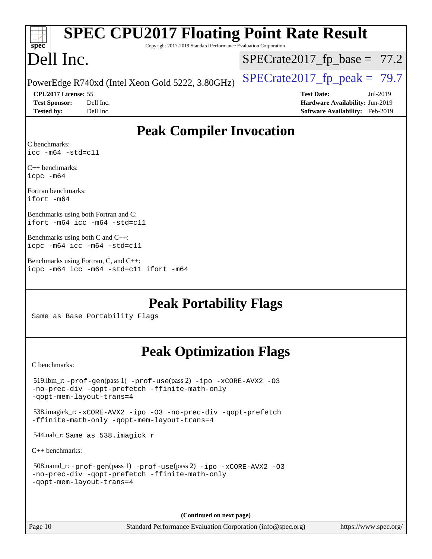| spec                       | <b>SPEC CPU2017 Floating Point Rate Result</b><br>Copyright 2017-2019 Standard Performance Evaluation Corporation |                                |                                        |
|----------------------------|-------------------------------------------------------------------------------------------------------------------|--------------------------------|----------------------------------------|
| Dell Inc.                  |                                                                                                                   | $SPECrate2017_fp\_base = 77.2$ |                                        |
|                            | PowerEdge R740xd (Intel Xeon Gold 5222, 3.80GHz)                                                                  | $SPECrate2017fp peak = 79.7$   |                                        |
| <b>CPU2017 License: 55</b> |                                                                                                                   | <b>Test Date:</b>              | Jul-2019                               |
| <b>Test Sponsor:</b>       | Dell Inc.                                                                                                         |                                | Hardware Availability: Jun-2019        |
| <b>Tested by:</b>          | Dell Inc.                                                                                                         |                                | <b>Software Availability:</b> Feb-2019 |
| C benchmarks:              | <b>Peak Compiler Invocation</b>                                                                                   |                                |                                        |
| $\text{icc -m64 -std=c11}$ |                                                                                                                   |                                |                                        |
| $C_{++}$ benchmarks:       |                                                                                                                   |                                |                                        |

[icpc -m64](http://www.spec.org/cpu2017/results/res2019q3/cpu2017-20190722-16275.flags.html#user_CXXpeak_intel_icpc_64bit_4ecb2543ae3f1412ef961e0650ca070fec7b7afdcd6ed48761b84423119d1bf6bdf5cad15b44d48e7256388bc77273b966e5eb805aefd121eb22e9299b2ec9d9) [Fortran benchmarks](http://www.spec.org/auto/cpu2017/Docs/result-fields.html#Fortranbenchmarks):

[ifort -m64](http://www.spec.org/cpu2017/results/res2019q3/cpu2017-20190722-16275.flags.html#user_FCpeak_intel_ifort_64bit_24f2bb282fbaeffd6157abe4f878425411749daecae9a33200eee2bee2fe76f3b89351d69a8130dd5949958ce389cf37ff59a95e7a40d588e8d3a57e0c3fd751)

[Benchmarks using both Fortran and C](http://www.spec.org/auto/cpu2017/Docs/result-fields.html#BenchmarksusingbothFortranandC): [ifort -m64](http://www.spec.org/cpu2017/results/res2019q3/cpu2017-20190722-16275.flags.html#user_CC_FCpeak_intel_ifort_64bit_24f2bb282fbaeffd6157abe4f878425411749daecae9a33200eee2bee2fe76f3b89351d69a8130dd5949958ce389cf37ff59a95e7a40d588e8d3a57e0c3fd751) [icc -m64 -std=c11](http://www.spec.org/cpu2017/results/res2019q3/cpu2017-20190722-16275.flags.html#user_CC_FCpeak_intel_icc_64bit_c11_33ee0cdaae7deeeab2a9725423ba97205ce30f63b9926c2519791662299b76a0318f32ddfffdc46587804de3178b4f9328c46fa7c2b0cd779d7a61945c91cd35)

[Benchmarks using both C and C++:](http://www.spec.org/auto/cpu2017/Docs/result-fields.html#BenchmarksusingbothCandCXX) [icpc -m64](http://www.spec.org/cpu2017/results/res2019q3/cpu2017-20190722-16275.flags.html#user_CC_CXXpeak_intel_icpc_64bit_4ecb2543ae3f1412ef961e0650ca070fec7b7afdcd6ed48761b84423119d1bf6bdf5cad15b44d48e7256388bc77273b966e5eb805aefd121eb22e9299b2ec9d9) [icc -m64 -std=c11](http://www.spec.org/cpu2017/results/res2019q3/cpu2017-20190722-16275.flags.html#user_CC_CXXpeak_intel_icc_64bit_c11_33ee0cdaae7deeeab2a9725423ba97205ce30f63b9926c2519791662299b76a0318f32ddfffdc46587804de3178b4f9328c46fa7c2b0cd779d7a61945c91cd35)

[Benchmarks using Fortran, C, and C++:](http://www.spec.org/auto/cpu2017/Docs/result-fields.html#BenchmarksusingFortranCandCXX) [icpc -m64](http://www.spec.org/cpu2017/results/res2019q3/cpu2017-20190722-16275.flags.html#user_CC_CXX_FCpeak_intel_icpc_64bit_4ecb2543ae3f1412ef961e0650ca070fec7b7afdcd6ed48761b84423119d1bf6bdf5cad15b44d48e7256388bc77273b966e5eb805aefd121eb22e9299b2ec9d9) [icc -m64 -std=c11](http://www.spec.org/cpu2017/results/res2019q3/cpu2017-20190722-16275.flags.html#user_CC_CXX_FCpeak_intel_icc_64bit_c11_33ee0cdaae7deeeab2a9725423ba97205ce30f63b9926c2519791662299b76a0318f32ddfffdc46587804de3178b4f9328c46fa7c2b0cd779d7a61945c91cd35) [ifort -m64](http://www.spec.org/cpu2017/results/res2019q3/cpu2017-20190722-16275.flags.html#user_CC_CXX_FCpeak_intel_ifort_64bit_24f2bb282fbaeffd6157abe4f878425411749daecae9a33200eee2bee2fe76f3b89351d69a8130dd5949958ce389cf37ff59a95e7a40d588e8d3a57e0c3fd751)

**[Peak Portability Flags](http://www.spec.org/auto/cpu2017/Docs/result-fields.html#PeakPortabilityFlags)**

Same as Base Portability Flags

## **[Peak Optimization Flags](http://www.spec.org/auto/cpu2017/Docs/result-fields.html#PeakOptimizationFlags)**

[C benchmarks](http://www.spec.org/auto/cpu2017/Docs/result-fields.html#Cbenchmarks):

```
 519.lbm_r: -prof-gen(pass 1) -prof-use(pass 2) -ipo -xCORE-AVX2 -O3
-no-prec-div -qopt-prefetch -ffinite-math-only
-qopt-mem-layout-trans=4
 538.imagick_r: -xCORE-AVX2 -ipo -O3 -no-prec-div -qopt-prefetch
-ffinite-math-only -qopt-mem-layout-trans=4
 544.nab_r: Same as 538.imagick_r
C++ benchmarks: 
 508.namd_r: -prof-gen(pass 1) -prof-use(pass 2) -ipo -xCORE-AVX2 -O3
-no-prec-div -qopt-prefetch -ffinite-math-only
-qopt-mem-layout-trans=4
```
**(Continued on next page)**

Page 10 Standard Performance Evaluation Corporation [\(info@spec.org\)](mailto:info@spec.org) <https://www.spec.org/>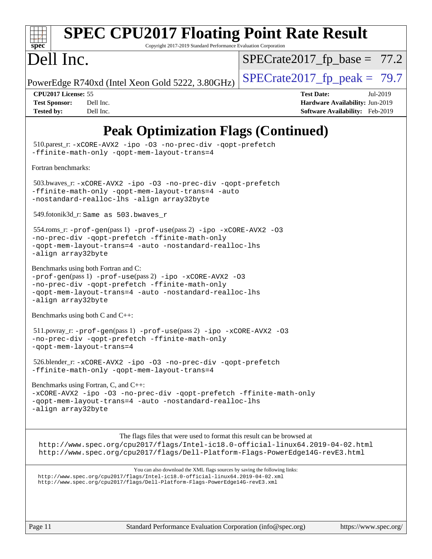

# **[SPEC CPU2017 Floating Point Rate Result](http://www.spec.org/auto/cpu2017/Docs/result-fields.html#SPECCPU2017FloatingPointRateResult)**

Copyright 2017-2019 Standard Performance Evaluation Corporation

## Dell Inc.

 $SPECTate2017_fp\_base = 77.2$ 

PowerEdge R740xd (Intel Xeon Gold 5222, 3.80GHz)  $\left|$  [SPECrate2017\\_fp\\_peak =](http://www.spec.org/auto/cpu2017/Docs/result-fields.html#SPECrate2017fppeak) 79.7

**[CPU2017 License:](http://www.spec.org/auto/cpu2017/Docs/result-fields.html#CPU2017License)** 55 **[Test Date:](http://www.spec.org/auto/cpu2017/Docs/result-fields.html#TestDate)** Jul-2019 **[Test Sponsor:](http://www.spec.org/auto/cpu2017/Docs/result-fields.html#TestSponsor)** Dell Inc. **[Hardware Availability:](http://www.spec.org/auto/cpu2017/Docs/result-fields.html#HardwareAvailability)** Jun-2019 **[Tested by:](http://www.spec.org/auto/cpu2017/Docs/result-fields.html#Testedby)** Dell Inc. **[Software Availability:](http://www.spec.org/auto/cpu2017/Docs/result-fields.html#SoftwareAvailability)** Feb-2019

## **[Peak Optimization Flags \(Continued\)](http://www.spec.org/auto/cpu2017/Docs/result-fields.html#PeakOptimizationFlags)**

 510.parest\_r: [-xCORE-AVX2](http://www.spec.org/cpu2017/results/res2019q3/cpu2017-20190722-16275.flags.html#user_peakCXXOPTIMIZE510_parest_r_f-xCORE-AVX2) [-ipo](http://www.spec.org/cpu2017/results/res2019q3/cpu2017-20190722-16275.flags.html#user_peakCXXOPTIMIZE510_parest_r_f-ipo) [-O3](http://www.spec.org/cpu2017/results/res2019q3/cpu2017-20190722-16275.flags.html#user_peakCXXOPTIMIZE510_parest_r_f-O3) [-no-prec-div](http://www.spec.org/cpu2017/results/res2019q3/cpu2017-20190722-16275.flags.html#user_peakCXXOPTIMIZE510_parest_r_f-no-prec-div) [-qopt-prefetch](http://www.spec.org/cpu2017/results/res2019q3/cpu2017-20190722-16275.flags.html#user_peakCXXOPTIMIZE510_parest_r_f-qopt-prefetch) [-ffinite-math-only](http://www.spec.org/cpu2017/results/res2019q3/cpu2017-20190722-16275.flags.html#user_peakCXXOPTIMIZE510_parest_r_f_finite_math_only_cb91587bd2077682c4b38af759c288ed7c732db004271a9512da14a4f8007909a5f1427ecbf1a0fb78ff2a814402c6114ac565ca162485bbcae155b5e4258871) [-qopt-mem-layout-trans=4](http://www.spec.org/cpu2017/results/res2019q3/cpu2017-20190722-16275.flags.html#user_peakCXXOPTIMIZE510_parest_r_f-qopt-mem-layout-trans_fa39e755916c150a61361b7846f310bcdf6f04e385ef281cadf3647acec3f0ae266d1a1d22d972a7087a248fd4e6ca390a3634700869573d231a252c784941a8) [Fortran benchmarks](http://www.spec.org/auto/cpu2017/Docs/result-fields.html#Fortranbenchmarks): 503.bwaves\_r: [-xCORE-AVX2](http://www.spec.org/cpu2017/results/res2019q3/cpu2017-20190722-16275.flags.html#user_peakFOPTIMIZE503_bwaves_r_f-xCORE-AVX2) [-ipo](http://www.spec.org/cpu2017/results/res2019q3/cpu2017-20190722-16275.flags.html#user_peakFOPTIMIZE503_bwaves_r_f-ipo) [-O3](http://www.spec.org/cpu2017/results/res2019q3/cpu2017-20190722-16275.flags.html#user_peakFOPTIMIZE503_bwaves_r_f-O3) [-no-prec-div](http://www.spec.org/cpu2017/results/res2019q3/cpu2017-20190722-16275.flags.html#user_peakFOPTIMIZE503_bwaves_r_f-no-prec-div) [-qopt-prefetch](http://www.spec.org/cpu2017/results/res2019q3/cpu2017-20190722-16275.flags.html#user_peakFOPTIMIZE503_bwaves_r_f-qopt-prefetch) [-ffinite-math-only](http://www.spec.org/cpu2017/results/res2019q3/cpu2017-20190722-16275.flags.html#user_peakFOPTIMIZE503_bwaves_r_f_finite_math_only_cb91587bd2077682c4b38af759c288ed7c732db004271a9512da14a4f8007909a5f1427ecbf1a0fb78ff2a814402c6114ac565ca162485bbcae155b5e4258871) [-qopt-mem-layout-trans=4](http://www.spec.org/cpu2017/results/res2019q3/cpu2017-20190722-16275.flags.html#user_peakFOPTIMIZE503_bwaves_r_f-qopt-mem-layout-trans_fa39e755916c150a61361b7846f310bcdf6f04e385ef281cadf3647acec3f0ae266d1a1d22d972a7087a248fd4e6ca390a3634700869573d231a252c784941a8) [-auto](http://www.spec.org/cpu2017/results/res2019q3/cpu2017-20190722-16275.flags.html#user_peakFOPTIMIZE503_bwaves_r_f-auto) [-nostandard-realloc-lhs](http://www.spec.org/cpu2017/results/res2019q3/cpu2017-20190722-16275.flags.html#user_peakEXTRA_FOPTIMIZE503_bwaves_r_f_2003_std_realloc_82b4557e90729c0f113870c07e44d33d6f5a304b4f63d4c15d2d0f1fab99f5daaed73bdb9275d9ae411527f28b936061aa8b9c8f2d63842963b95c9dd6426b8a) [-align array32byte](http://www.spec.org/cpu2017/results/res2019q3/cpu2017-20190722-16275.flags.html#user_peakEXTRA_FOPTIMIZE503_bwaves_r_align_array32byte_b982fe038af199962ba9a80c053b8342c548c85b40b8e86eb3cc33dee0d7986a4af373ac2d51c3f7cf710a18d62fdce2948f201cd044323541f22fc0fffc51b6) 549.fotonik3d\_r: Same as 503.bwaves\_r 554.roms\_r: [-prof-gen](http://www.spec.org/cpu2017/results/res2019q3/cpu2017-20190722-16275.flags.html#user_peakPASS1_FFLAGSPASS1_LDFLAGS554_roms_r_prof_gen_5aa4926d6013ddb2a31985c654b3eb18169fc0c6952a63635c234f711e6e63dd76e94ad52365559451ec499a2cdb89e4dc58ba4c67ef54ca681ffbe1461d6b36)(pass 1) [-prof-use](http://www.spec.org/cpu2017/results/res2019q3/cpu2017-20190722-16275.flags.html#user_peakPASS2_FFLAGSPASS2_LDFLAGS554_roms_r_prof_use_1a21ceae95f36a2b53c25747139a6c16ca95bd9def2a207b4f0849963b97e94f5260e30a0c64f4bb623698870e679ca08317ef8150905d41bd88c6f78df73f19)(pass 2) [-ipo](http://www.spec.org/cpu2017/results/res2019q3/cpu2017-20190722-16275.flags.html#user_peakPASS1_FOPTIMIZEPASS2_FOPTIMIZE554_roms_r_f-ipo) [-xCORE-AVX2](http://www.spec.org/cpu2017/results/res2019q3/cpu2017-20190722-16275.flags.html#user_peakPASS2_FOPTIMIZE554_roms_r_f-xCORE-AVX2) [-O3](http://www.spec.org/cpu2017/results/res2019q3/cpu2017-20190722-16275.flags.html#user_peakPASS1_FOPTIMIZEPASS2_FOPTIMIZE554_roms_r_f-O3) [-no-prec-div](http://www.spec.org/cpu2017/results/res2019q3/cpu2017-20190722-16275.flags.html#user_peakPASS1_FOPTIMIZEPASS2_FOPTIMIZE554_roms_r_f-no-prec-div) [-qopt-prefetch](http://www.spec.org/cpu2017/results/res2019q3/cpu2017-20190722-16275.flags.html#user_peakPASS1_FOPTIMIZEPASS2_FOPTIMIZE554_roms_r_f-qopt-prefetch) [-ffinite-math-only](http://www.spec.org/cpu2017/results/res2019q3/cpu2017-20190722-16275.flags.html#user_peakPASS1_FOPTIMIZEPASS2_FOPTIMIZE554_roms_r_f_finite_math_only_cb91587bd2077682c4b38af759c288ed7c732db004271a9512da14a4f8007909a5f1427ecbf1a0fb78ff2a814402c6114ac565ca162485bbcae155b5e4258871) [-qopt-mem-layout-trans=4](http://www.spec.org/cpu2017/results/res2019q3/cpu2017-20190722-16275.flags.html#user_peakPASS1_FOPTIMIZEPASS2_FOPTIMIZE554_roms_r_f-qopt-mem-layout-trans_fa39e755916c150a61361b7846f310bcdf6f04e385ef281cadf3647acec3f0ae266d1a1d22d972a7087a248fd4e6ca390a3634700869573d231a252c784941a8) [-auto](http://www.spec.org/cpu2017/results/res2019q3/cpu2017-20190722-16275.flags.html#user_peakPASS2_FOPTIMIZE554_roms_r_f-auto) [-nostandard-realloc-lhs](http://www.spec.org/cpu2017/results/res2019q3/cpu2017-20190722-16275.flags.html#user_peakEXTRA_FOPTIMIZE554_roms_r_f_2003_std_realloc_82b4557e90729c0f113870c07e44d33d6f5a304b4f63d4c15d2d0f1fab99f5daaed73bdb9275d9ae411527f28b936061aa8b9c8f2d63842963b95c9dd6426b8a) [-align array32byte](http://www.spec.org/cpu2017/results/res2019q3/cpu2017-20190722-16275.flags.html#user_peakEXTRA_FOPTIMIZE554_roms_r_align_array32byte_b982fe038af199962ba9a80c053b8342c548c85b40b8e86eb3cc33dee0d7986a4af373ac2d51c3f7cf710a18d62fdce2948f201cd044323541f22fc0fffc51b6) [Benchmarks using both Fortran and C](http://www.spec.org/auto/cpu2017/Docs/result-fields.html#BenchmarksusingbothFortranandC): [-prof-gen](http://www.spec.org/cpu2017/results/res2019q3/cpu2017-20190722-16275.flags.html#user_CC_FCpeak_prof_gen_5aa4926d6013ddb2a31985c654b3eb18169fc0c6952a63635c234f711e6e63dd76e94ad52365559451ec499a2cdb89e4dc58ba4c67ef54ca681ffbe1461d6b36)(pass 1) [-prof-use](http://www.spec.org/cpu2017/results/res2019q3/cpu2017-20190722-16275.flags.html#user_CC_FCpeak_prof_use_1a21ceae95f36a2b53c25747139a6c16ca95bd9def2a207b4f0849963b97e94f5260e30a0c64f4bb623698870e679ca08317ef8150905d41bd88c6f78df73f19)(pass 2) [-ipo](http://www.spec.org/cpu2017/results/res2019q3/cpu2017-20190722-16275.flags.html#user_CC_FCpeak_f-ipo) [-xCORE-AVX2](http://www.spec.org/cpu2017/results/res2019q3/cpu2017-20190722-16275.flags.html#user_CC_FCpeak_f-xCORE-AVX2) [-O3](http://www.spec.org/cpu2017/results/res2019q3/cpu2017-20190722-16275.flags.html#user_CC_FCpeak_f-O3) [-no-prec-div](http://www.spec.org/cpu2017/results/res2019q3/cpu2017-20190722-16275.flags.html#user_CC_FCpeak_f-no-prec-div) [-qopt-prefetch](http://www.spec.org/cpu2017/results/res2019q3/cpu2017-20190722-16275.flags.html#user_CC_FCpeak_f-qopt-prefetch) [-ffinite-math-only](http://www.spec.org/cpu2017/results/res2019q3/cpu2017-20190722-16275.flags.html#user_CC_FCpeak_f_finite_math_only_cb91587bd2077682c4b38af759c288ed7c732db004271a9512da14a4f8007909a5f1427ecbf1a0fb78ff2a814402c6114ac565ca162485bbcae155b5e4258871) [-qopt-mem-layout-trans=4](http://www.spec.org/cpu2017/results/res2019q3/cpu2017-20190722-16275.flags.html#user_CC_FCpeak_f-qopt-mem-layout-trans_fa39e755916c150a61361b7846f310bcdf6f04e385ef281cadf3647acec3f0ae266d1a1d22d972a7087a248fd4e6ca390a3634700869573d231a252c784941a8) [-auto](http://www.spec.org/cpu2017/results/res2019q3/cpu2017-20190722-16275.flags.html#user_CC_FCpeak_f-auto) [-nostandard-realloc-lhs](http://www.spec.org/cpu2017/results/res2019q3/cpu2017-20190722-16275.flags.html#user_CC_FCpeak_f_2003_std_realloc_82b4557e90729c0f113870c07e44d33d6f5a304b4f63d4c15d2d0f1fab99f5daaed73bdb9275d9ae411527f28b936061aa8b9c8f2d63842963b95c9dd6426b8a) [-align array32byte](http://www.spec.org/cpu2017/results/res2019q3/cpu2017-20190722-16275.flags.html#user_CC_FCpeak_align_array32byte_b982fe038af199962ba9a80c053b8342c548c85b40b8e86eb3cc33dee0d7986a4af373ac2d51c3f7cf710a18d62fdce2948f201cd044323541f22fc0fffc51b6) [Benchmarks using both C and C++](http://www.spec.org/auto/cpu2017/Docs/result-fields.html#BenchmarksusingbothCandCXX): 511.povray\_r: [-prof-gen](http://www.spec.org/cpu2017/results/res2019q3/cpu2017-20190722-16275.flags.html#user_peakPASS1_CFLAGSPASS1_CXXFLAGSPASS1_LDFLAGS511_povray_r_prof_gen_5aa4926d6013ddb2a31985c654b3eb18169fc0c6952a63635c234f711e6e63dd76e94ad52365559451ec499a2cdb89e4dc58ba4c67ef54ca681ffbe1461d6b36)(pass 1) [-prof-use](http://www.spec.org/cpu2017/results/res2019q3/cpu2017-20190722-16275.flags.html#user_peakPASS2_CFLAGSPASS2_CXXFLAGSPASS2_LDFLAGS511_povray_r_prof_use_1a21ceae95f36a2b53c25747139a6c16ca95bd9def2a207b4f0849963b97e94f5260e30a0c64f4bb623698870e679ca08317ef8150905d41bd88c6f78df73f19)(pass 2) [-ipo](http://www.spec.org/cpu2017/results/res2019q3/cpu2017-20190722-16275.flags.html#user_peakPASS1_COPTIMIZEPASS1_CXXOPTIMIZEPASS2_COPTIMIZEPASS2_CXXOPTIMIZE511_povray_r_f-ipo) [-xCORE-AVX2](http://www.spec.org/cpu2017/results/res2019q3/cpu2017-20190722-16275.flags.html#user_peakPASS2_COPTIMIZEPASS2_CXXOPTIMIZE511_povray_r_f-xCORE-AVX2) [-O3](http://www.spec.org/cpu2017/results/res2019q3/cpu2017-20190722-16275.flags.html#user_peakPASS1_COPTIMIZEPASS1_CXXOPTIMIZEPASS2_COPTIMIZEPASS2_CXXOPTIMIZE511_povray_r_f-O3) [-no-prec-div](http://www.spec.org/cpu2017/results/res2019q3/cpu2017-20190722-16275.flags.html#user_peakPASS1_COPTIMIZEPASS1_CXXOPTIMIZEPASS2_COPTIMIZEPASS2_CXXOPTIMIZE511_povray_r_f-no-prec-div) [-qopt-prefetch](http://www.spec.org/cpu2017/results/res2019q3/cpu2017-20190722-16275.flags.html#user_peakPASS1_COPTIMIZEPASS1_CXXOPTIMIZEPASS2_COPTIMIZEPASS2_CXXOPTIMIZE511_povray_r_f-qopt-prefetch) [-ffinite-math-only](http://www.spec.org/cpu2017/results/res2019q3/cpu2017-20190722-16275.flags.html#user_peakPASS1_COPTIMIZEPASS1_CXXOPTIMIZEPASS2_COPTIMIZEPASS2_CXXOPTIMIZE511_povray_r_f_finite_math_only_cb91587bd2077682c4b38af759c288ed7c732db004271a9512da14a4f8007909a5f1427ecbf1a0fb78ff2a814402c6114ac565ca162485bbcae155b5e4258871) [-qopt-mem-layout-trans=4](http://www.spec.org/cpu2017/results/res2019q3/cpu2017-20190722-16275.flags.html#user_peakPASS1_COPTIMIZEPASS1_CXXOPTIMIZEPASS2_COPTIMIZEPASS2_CXXOPTIMIZE511_povray_r_f-qopt-mem-layout-trans_fa39e755916c150a61361b7846f310bcdf6f04e385ef281cadf3647acec3f0ae266d1a1d22d972a7087a248fd4e6ca390a3634700869573d231a252c784941a8) 526.blender\_r: [-xCORE-AVX2](http://www.spec.org/cpu2017/results/res2019q3/cpu2017-20190722-16275.flags.html#user_peakCOPTIMIZECXXOPTIMIZE526_blender_r_f-xCORE-AVX2) [-ipo](http://www.spec.org/cpu2017/results/res2019q3/cpu2017-20190722-16275.flags.html#user_peakCOPTIMIZECXXOPTIMIZE526_blender_r_f-ipo) [-O3](http://www.spec.org/cpu2017/results/res2019q3/cpu2017-20190722-16275.flags.html#user_peakCOPTIMIZECXXOPTIMIZE526_blender_r_f-O3) [-no-prec-div](http://www.spec.org/cpu2017/results/res2019q3/cpu2017-20190722-16275.flags.html#user_peakCOPTIMIZECXXOPTIMIZE526_blender_r_f-no-prec-div) [-qopt-prefetch](http://www.spec.org/cpu2017/results/res2019q3/cpu2017-20190722-16275.flags.html#user_peakCOPTIMIZECXXOPTIMIZE526_blender_r_f-qopt-prefetch) [-ffinite-math-only](http://www.spec.org/cpu2017/results/res2019q3/cpu2017-20190722-16275.flags.html#user_peakCOPTIMIZECXXOPTIMIZE526_blender_r_f_finite_math_only_cb91587bd2077682c4b38af759c288ed7c732db004271a9512da14a4f8007909a5f1427ecbf1a0fb78ff2a814402c6114ac565ca162485bbcae155b5e4258871) [-qopt-mem-layout-trans=4](http://www.spec.org/cpu2017/results/res2019q3/cpu2017-20190722-16275.flags.html#user_peakCOPTIMIZECXXOPTIMIZE526_blender_r_f-qopt-mem-layout-trans_fa39e755916c150a61361b7846f310bcdf6f04e385ef281cadf3647acec3f0ae266d1a1d22d972a7087a248fd4e6ca390a3634700869573d231a252c784941a8) [Benchmarks using Fortran, C, and C++:](http://www.spec.org/auto/cpu2017/Docs/result-fields.html#BenchmarksusingFortranCandCXX) [-xCORE-AVX2](http://www.spec.org/cpu2017/results/res2019q3/cpu2017-20190722-16275.flags.html#user_CC_CXX_FCpeak_f-xCORE-AVX2) [-ipo](http://www.spec.org/cpu2017/results/res2019q3/cpu2017-20190722-16275.flags.html#user_CC_CXX_FCpeak_f-ipo) [-O3](http://www.spec.org/cpu2017/results/res2019q3/cpu2017-20190722-16275.flags.html#user_CC_CXX_FCpeak_f-O3) [-no-prec-div](http://www.spec.org/cpu2017/results/res2019q3/cpu2017-20190722-16275.flags.html#user_CC_CXX_FCpeak_f-no-prec-div) [-qopt-prefetch](http://www.spec.org/cpu2017/results/res2019q3/cpu2017-20190722-16275.flags.html#user_CC_CXX_FCpeak_f-qopt-prefetch) [-ffinite-math-only](http://www.spec.org/cpu2017/results/res2019q3/cpu2017-20190722-16275.flags.html#user_CC_CXX_FCpeak_f_finite_math_only_cb91587bd2077682c4b38af759c288ed7c732db004271a9512da14a4f8007909a5f1427ecbf1a0fb78ff2a814402c6114ac565ca162485bbcae155b5e4258871) [-qopt-mem-layout-trans=4](http://www.spec.org/cpu2017/results/res2019q3/cpu2017-20190722-16275.flags.html#user_CC_CXX_FCpeak_f-qopt-mem-layout-trans_fa39e755916c150a61361b7846f310bcdf6f04e385ef281cadf3647acec3f0ae266d1a1d22d972a7087a248fd4e6ca390a3634700869573d231a252c784941a8) [-auto](http://www.spec.org/cpu2017/results/res2019q3/cpu2017-20190722-16275.flags.html#user_CC_CXX_FCpeak_f-auto) [-nostandard-realloc-lhs](http://www.spec.org/cpu2017/results/res2019q3/cpu2017-20190722-16275.flags.html#user_CC_CXX_FCpeak_f_2003_std_realloc_82b4557e90729c0f113870c07e44d33d6f5a304b4f63d4c15d2d0f1fab99f5daaed73bdb9275d9ae411527f28b936061aa8b9c8f2d63842963b95c9dd6426b8a) [-align array32byte](http://www.spec.org/cpu2017/results/res2019q3/cpu2017-20190722-16275.flags.html#user_CC_CXX_FCpeak_align_array32byte_b982fe038af199962ba9a80c053b8342c548c85b40b8e86eb3cc33dee0d7986a4af373ac2d51c3f7cf710a18d62fdce2948f201cd044323541f22fc0fffc51b6) The flags files that were used to format this result can be browsed at <http://www.spec.org/cpu2017/flags/Intel-ic18.0-official-linux64.2019-04-02.html> <http://www.spec.org/cpu2017/flags/Dell-Platform-Flags-PowerEdge14G-revE3.html> You can also download the XML flags sources by saving the following links: <http://www.spec.org/cpu2017/flags/Intel-ic18.0-official-linux64.2019-04-02.xml> <http://www.spec.org/cpu2017/flags/Dell-Platform-Flags-PowerEdge14G-revE3.xml>